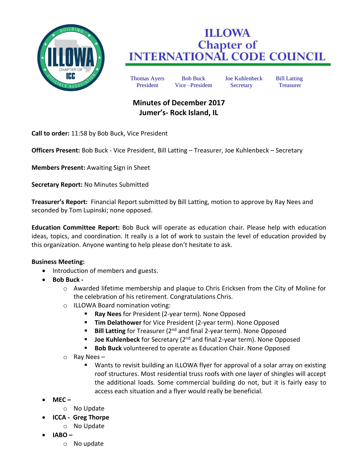

## **ILLOWA Chapter of<br>INTERNATIONAL CODE COUNCIL**

Thomas Ayers Bob Buck Joe Kuhlenbeck Bill Latting President Vice –President Secretary Treasurer

## **Minutes of December 2017 Jumer's- Rock Island, IL**

**Call to order:** 11:58 by Bob Buck, Vice President

**Officers Present:** Bob Buck - Vice President, Bill Latting – Treasurer, Joe Kuhlenbeck – Secretary

**Members Present:** Awaiting Sign in Sheet

**Secretary Report:** No Minutes Submitted

**Treasurer's Report:** Financial Report submitted by Bill Latting, motion to approve by Ray Nees and seconded by Tom Lupinski; none opposed.

**Education Committee Report:** Bob Buck will operate as education chair. Please help with education ideas, topics, and coordination. It really is a lot of work to sustain the level of education provided by this organization. Anyone wanting to help please don't hesitate to ask.

## **Business Meeting:**

- Introduction of members and guests.
- **Bob Buck** 
	- o Awarded lifetime membership and plaque to Chris Ericksen from the City of Moline for the celebration of his retirement. Congratulations Chris.
	- o ILLOWA Board nomination voting:
		- **Ray Nees** for President (2-year term). None Opposed
		- **Tim Delathower** for Vice President (2-year term). None Opposed
		- **Bill Latting** for Treasurer (2<sup>nd</sup> and final 2-year term). None Opposed
		- **Joe Kuhlenbeck** for Secretary (2<sup>nd</sup> and final 2-year term). None Opposed
		- **Bob Buck** volunteered to operate as Education Chair. None Opposed
	- o Ray Nees
		- Wants to revisit building an ILLOWA flyer for approval of a solar array on existing roof structures. Most residential truss roofs with one layer of shingles will accept the additional loads. Some commercial building do not, but it is fairly easy to access each situation and a flyer would really be beneficial.
- **MEC –**
	- o No Update
- **ICCA Greg Thorpe**
	- o No Update
- **IABO –**
	- o No update